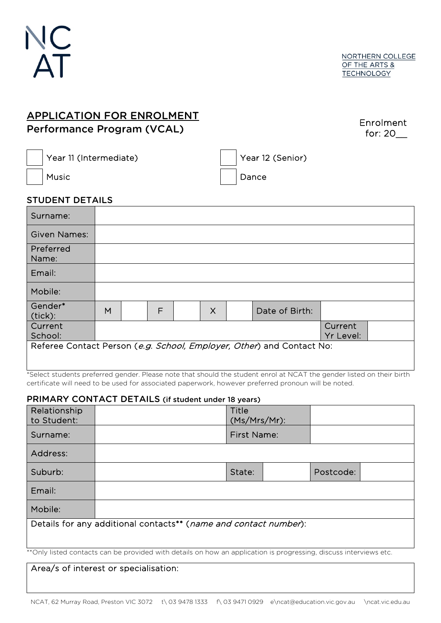

## APPLICATION FOR ENROLMENT Performance Program (VCAL)

|         | Enrolment |
|---------|-----------|
| for: 20 |           |

Year 11 (Intermediate) Year 12 (Senior)

# Music Dance

### STUDENT DETAILS

| Surname:                   |   |   |          |                                                                       |                      |  |
|----------------------------|---|---|----------|-----------------------------------------------------------------------|----------------------|--|
| <b>Given Names:</b>        |   |   |          |                                                                       |                      |  |
| Preferred<br>Name:         |   |   |          |                                                                       |                      |  |
| Email:                     |   |   |          |                                                                       |                      |  |
| Mobile:                    |   |   |          |                                                                       |                      |  |
| Gender*<br>$\vert$ (tick): | M | F | $\times$ | Date of Birth:                                                        |                      |  |
| Current<br>School:         |   |   |          |                                                                       | Current<br>Yr Level: |  |
|                            |   |   |          | Referee Contact Person (e.g. School, Employer, Other) and Contact No: |                      |  |

\*Select students preferred gender. Please note that should the student enrol at NCAT the gender listed on their birth certificate will need to be used for associated paperwork, however preferred pronoun will be noted.

#### PRIMARY CONTACT DETAILS (if student under 18 years)

| Relationship<br>to Student: |                                                                  | Title<br>(Ms/Mrs/Mr): |  |           |  |
|-----------------------------|------------------------------------------------------------------|-----------------------|--|-----------|--|
| Surname:                    |                                                                  | First Name:           |  |           |  |
| Address:                    |                                                                  |                       |  |           |  |
| Suburb:                     |                                                                  | State:                |  | Postcode: |  |
| Email:                      |                                                                  |                       |  |           |  |
| Mobile:                     |                                                                  |                       |  |           |  |
|                             | Details for any additional contacts** (name and contact number): |                       |  |           |  |
|                             |                                                                  |                       |  |           |  |

\*\*Only listed contacts can be provided with details on how an application is progressing, discuss interviews etc.

### Area/s of interest or specialisation: